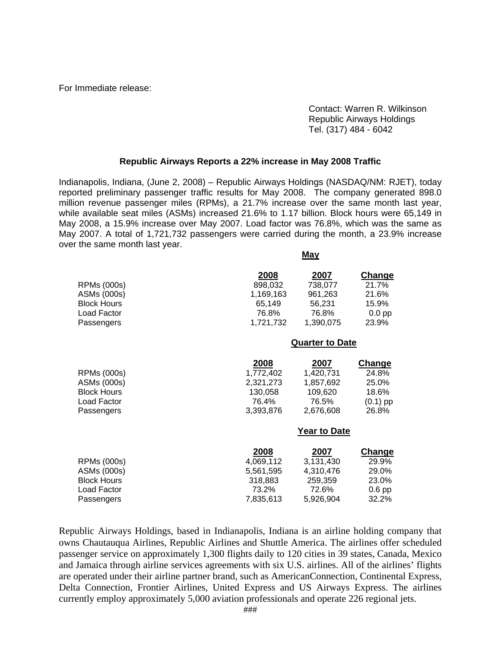For Immediate release:

 Contact: Warren R. Wilkinson Republic Airways Holdings Tel. (317) 484 - 6042

## **Republic Airways Reports a 22% increase in May 2008 Traffic**

Indianapolis, Indiana, (June 2, 2008) – Republic Airways Holdings (NASDAQ/NM: RJET), today reported preliminary passenger traffic results for May 2008. The company generated 898.0 million revenue passenger miles (RPMs), a 21.7% increase over the same month last year, while available seat miles (ASMs) increased 21.6% to 1.17 billion. Block hours were 65,149 in May 2008, a 15.9% increase over May 2007. Load factor was 76.8%, which was the same as May 2007. A total of 1,721,732 passengers were carried during the month, a 23.9% increase over the same month last year.

**May**

| 2007<br><b>Change</b>                                                                                                              |  |
|------------------------------------------------------------------------------------------------------------------------------------|--|
| 738,077<br>21.7%<br>961,263<br>21.6%<br>56,231<br>15.9%<br>76.8%<br>$0.0$ pp<br>1,390,075<br>23.9%                                 |  |
| <b>Quarter to Date</b>                                                                                                             |  |
| 2007<br><b>Change</b><br>1,420,731<br>24.8%<br>1,857,692<br>25.0%<br>109,620<br>18.6%<br>$(0.1)$ pp<br>76.5%<br>26.8%<br>2,676,608 |  |
| <b>Year to Date</b>                                                                                                                |  |
| 2007<br><b>Change</b><br>3,131,430<br>29.9%<br>4,310,476<br>29.0%<br>259,359<br>23.0%<br>72.6%<br>$0.6$ pp<br>32.2%<br>5,926,904   |  |
|                                                                                                                                    |  |

Republic Airways Holdings, based in Indianapolis, Indiana is an airline holding company that owns Chautauqua Airlines, Republic Airlines and Shuttle America. The airlines offer scheduled passenger service on approximately 1,300 flights daily to 120 cities in 39 states, Canada, Mexico and Jamaica through airline services agreements with six U.S. airlines. All of the airlines' flights are operated under their airline partner brand, such as AmericanConnection, Continental Express, Delta Connection, Frontier Airlines, United Express and US Airways Express. The airlines currently employ approximately 5,000 aviation professionals and operate 226 regional jets.